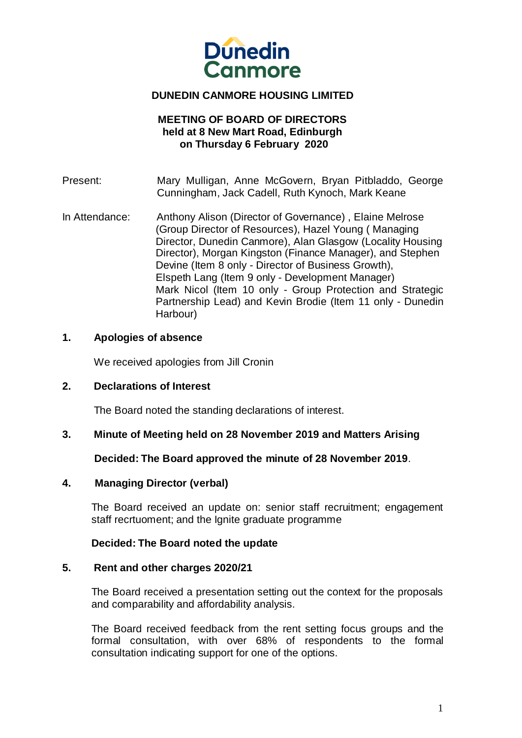

# **DUNEDIN CANMORE HOUSING LIMITED**

# **MEETING OF BOARD OF DIRECTORS held at 8 New Mart Road, Edinburgh on Thursday 6 February 2020**

- Present: Mary Mulligan, Anne McGovern, Bryan Pitbladdo, George Cunningham, Jack Cadell, Ruth Kynoch, Mark Keane
- In Attendance: Anthony Alison (Director of Governance) , Elaine Melrose (Group Director of Resources), Hazel Young ( Managing Director, Dunedin Canmore), Alan Glasgow (Locality Housing Director), Morgan Kingston (Finance Manager), and Stephen Devine (Item 8 only - Director of Business Growth), Elspeth Lang (Item 9 only - Development Manager) Mark Nicol (Item 10 only - Group Protection and Strategic Partnership Lead) and Kevin Brodie (Item 11 only - Dunedin Harbour)

# **1. Apologies of absence**

We received apologies from Jill Cronin

## **2. Declarations of Interest**

The Board noted the standing declarations of interest.

## **3. Minute of Meeting held on 28 November 2019 and Matters Arising**

## **Decided: The Board approved the minute of 28 November 2019**.

## **4. Managing Director (verbal)**

The Board received an update on: senior staff recruitment; engagement staff recrtuoment; and the Ignite graduate programme

## **Decided: The Board noted the update**

## **5. Rent and other charges 2020/21**

The Board received a presentation setting out the context for the proposals and comparability and affordability analysis.

The Board received feedback from the rent setting focus groups and the formal consultation, with over 68% of respondents to the formal consultation indicating support for one of the options.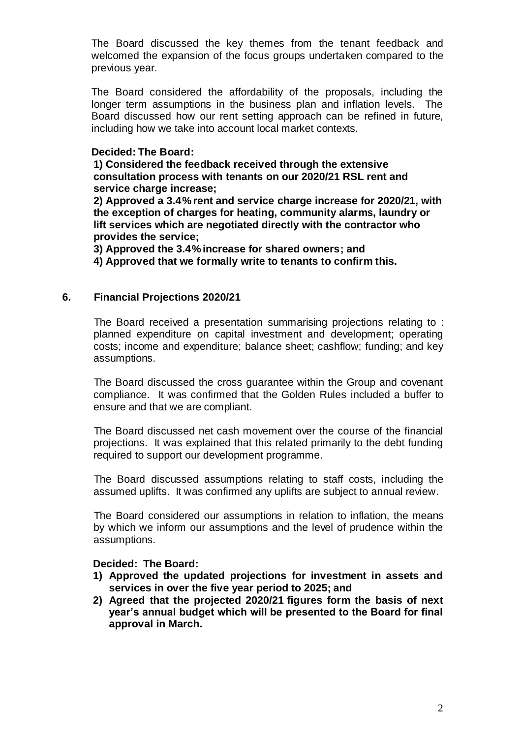The Board discussed the key themes from the tenant feedback and welcomed the expansion of the focus groups undertaken compared to the previous year.

The Board considered the affordability of the proposals, including the longer term assumptions in the business plan and inflation levels. The Board discussed how our rent setting approach can be refined in future, including how we take into account local market contexts.

# **Decided: The Board:**

**1) Considered the feedback received through the extensive consultation process with tenants on our 2020/21 RSL rent and service charge increase;**

**2) Approved a 3.4% rent and service charge increase for 2020/21, with the exception of charges for heating, community alarms, laundry or lift services which are negotiated directly with the contractor who provides the service;** 

**3) Approved the 3.4% increase for shared owners; and**

**4) Approved that we formally write to tenants to confirm this.**

# **6. Financial Projections 2020/21**

The Board received a presentation summarising projections relating to : planned expenditure on capital investment and development; operating costs; income and expenditure; balance sheet; cashflow; funding; and key assumptions.

The Board discussed the cross guarantee within the Group and covenant compliance. It was confirmed that the Golden Rules included a buffer to ensure and that we are compliant.

The Board discussed net cash movement over the course of the financial projections. It was explained that this related primarily to the debt funding required to support our development programme.

The Board discussed assumptions relating to staff costs, including the assumed uplifts. It was confirmed any uplifts are subject to annual review.

The Board considered our assumptions in relation to inflation, the means by which we inform our assumptions and the level of prudence within the assumptions.

## **Decided: The Board:**

- **1) Approved the updated projections for investment in assets and services in over the five year period to 2025; and**
- **2) Agreed that the projected 2020/21 figures form the basis of next year's annual budget which will be presented to the Board for final approval in March.**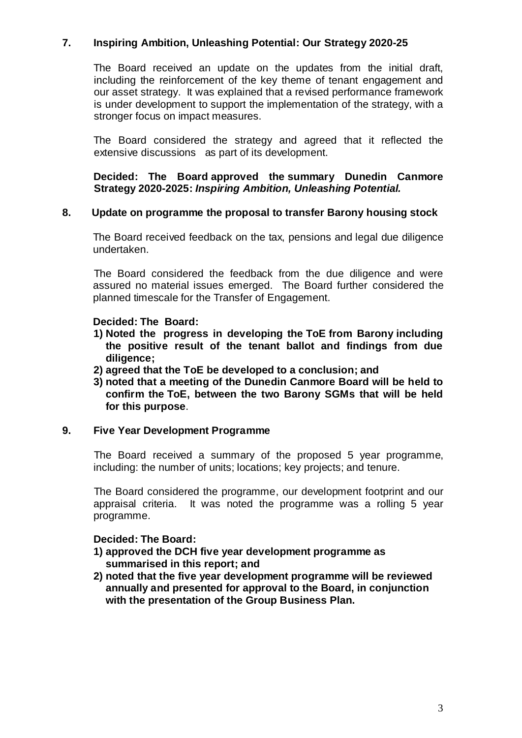# **7. Inspiring Ambition, Unleashing Potential: Our Strategy 2020-25**

The Board received an update on the updates from the initial draft, including the reinforcement of the key theme of tenant engagement and our asset strategy. It was explained that a revised performance framework is under development to support the implementation of the strategy, with a stronger focus on impact measures.

The Board considered the strategy and agreed that it reflected the extensive discussions as part of its development.

## **Decided: The Board approved the summary Dunedin Canmore Strategy 2020-2025:** *Inspiring Ambition, Unleashing Potential.*

## **8. Update on programme the proposal to transfer Barony housing stock**

The Board received feedback on the tax, pensions and legal due diligence undertaken.

The Board considered the feedback from the due diligence and were assured no material issues emerged. The Board further considered the planned timescale for the Transfer of Engagement.

## **Decided: The Board:**

- **1) Noted the progress in developing the ToE from Barony including the positive result of the tenant ballot and findings from due diligence;**
- **2) agreed that the ToE be developed to a conclusion; and**
- **3) noted that a meeting of the Dunedin Canmore Board will be held to confirm the ToE, between the two Barony SGMs that will be held for this purpose**.

## **9. Five Year Development Programme**

The Board received a summary of the proposed 5 year programme, including: the number of units; locations; key projects; and tenure.

The Board considered the programme, our development footprint and our appraisal criteria. It was noted the programme was a rolling 5 year programme.

## **Decided: The Board:**

- **1) approved the DCH five year development programme as summarised in this report; and**
- **2) noted that the five year development programme will be reviewed annually and presented for approval to the Board, in conjunction with the presentation of the Group Business Plan.**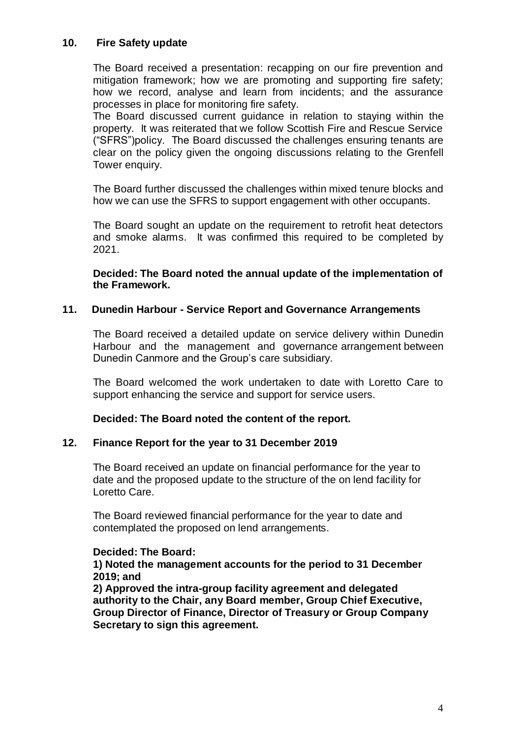# **10. Fire Safety update**

The Board received a presentation: recapping on our fire prevention and mitigation framework; how we are promoting and supporting fire safety; how we record, analyse and learn from incidents; and the assurance processes in place for monitoring fire safety.

The Board discussed current guidance in relation to staying within the property. It was reiterated that we follow Scottish Fire and Rescue Service ("SFRS")policy. The Board discussed the challenges ensuring tenants are clear on the policy given the ongoing discussions relating to the Grenfell Tower enquiry.

The Board further discussed the challenges within mixed tenure blocks and how we can use the SFRS to support engagement with other occupants.

The Board sought an update on the requirement to retrofit heat detectors and smoke alarms. It was confirmed this required to be completed by 2021.

**Decided: The Board noted the annual update of the implementation of the Framework.**

## **11. Dunedin Harbour - Service Report and Governance Arrangements**

The Board received a detailed update on service delivery within Dunedin Harbour and the management and governance arrangement between Dunedin Canmore and the Group's care subsidiary.

The Board welcomed the work undertaken to date with Loretto Care to support enhancing the service and support for service users.

**Decided: The Board noted the content of the report.**

## **12. Finance Report for the year to 31 December 2019**

The Board received an update on financial performance for the year to date and the proposed update to the structure of the on lend facility for Loretto Care.

The Board reviewed financial performance for the year to date and contemplated the proposed on lend arrangements.

## **Decided: The Board:**

**1) Noted the management accounts for the period to 31 December 2019; and**

**2) Approved the intra-group facility agreement and delegated authority to the Chair, any Board member, Group Chief Executive, Group Director of Finance, Director of Treasury or Group Company Secretary to sign this agreement.**